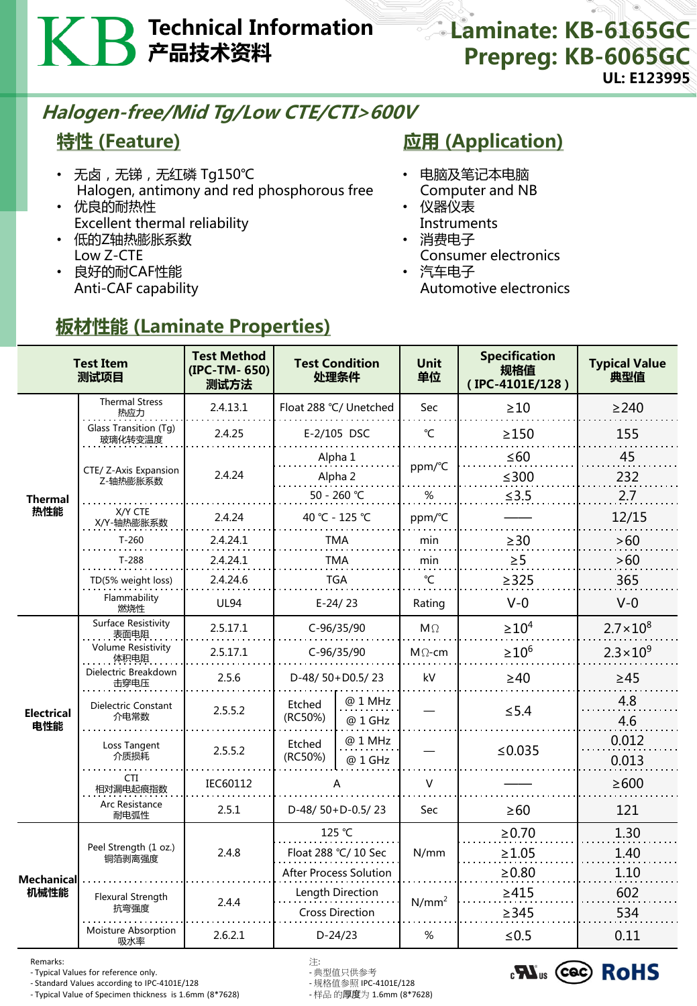# Technical Information 产品技术资料

# Halogen-free/Mid Tg/Low CTE/CTI>600V

## 特性 (Feature)

- 无卤, 无锑, 无红磷 Tg150℃ Halogen, antimony and red phosphorous free
- 优良的耐热性 Excellent thermal reliability
- 低的Z轴热膨胀系数 Low Z-CTE
- 良好的耐CAF性能 Anti-CAF capability

## **应用 (Application)**

- 电脑及笔记本电脑
- Computer and NB • 仪器仪表
- Instruments
- 消费电子 Consumer electronics
- 汽车电子 Automotive electronics

| <b>Test Item</b><br>测试项目 |                                    | <b>Test Method</b><br>(IPC-TM-650)<br>测试方法 | <b>Test Condition</b><br>处理条件              |                    | <b>Unit</b><br>单位 | <b>Specification</b><br>规格值<br>(IPC-4101E/128) | <b>Typical Value</b><br>典型值 |
|--------------------------|------------------------------------|--------------------------------------------|--------------------------------------------|--------------------|-------------------|------------------------------------------------|-----------------------------|
|                          | <b>Thermal Stress</b><br>热应力       | 2.4.13.1                                   | Float 288 °C/ Unetched                     |                    | Sec               | $\geq 10$                                      | $\geq$ 240                  |
|                          | Glass Transition (Tg)<br>玻璃化转变温度   | 2.4.25                                     | E-2/105 DSC                                |                    | °C                | $\geq$ 150                                     | 155                         |
|                          | CTE/ Z-Axis Expansion<br>Z-轴热膨胀系数  | 2.4.24                                     | Alpha 1<br>Alpha <sub>2</sub>              |                    | ppm/°C            | $\leq 60$<br>$≤300$                            | 45<br>232                   |
| <b>Thermal</b>           |                                    |                                            | 50 - 260 °C                                |                    | %                 | ≤3.5                                           | 2.7                         |
| 热性能                      | X/Y CTE<br>X/Y-轴热膨胀系数              | 2.4.24                                     | 40 °C - 125 °C                             |                    | ppm/°C            |                                                | 12/15                       |
|                          | $T-260$                            | 2.4.24.1                                   | TMA                                        |                    | min               | $\geq$ 30                                      | >60                         |
|                          | $T-288$                            | 2.4.24.1                                   | TMA                                        |                    | min               | $\geq 5$                                       | >60                         |
|                          | TD(5% weight loss)                 | 2.4.24.6                                   | <b>TGA</b>                                 |                    | °C                | $\geq$ 325                                     | 365                         |
|                          | Flammability<br>燃烧性                | <b>UL94</b>                                | $E-24/23$                                  |                    | Rating            | $V-0$                                          | $V-0$                       |
| <b>Electrical</b><br>电性能 | <b>Surface Resistivity</b><br>表面电阻 | 2.5.17.1                                   | C-96/35/90                                 |                    | $M\Omega$         | $\geq 10^4$                                    | $2.7 \times 10^{8}$         |
|                          | <b>Volume Resistivity</b><br>体积电阻  | 2.5.17.1                                   | C-96/35/90                                 |                    | $M\Omega$ -cm     | $\geq 10^6$                                    | $2.3 \times 10^{9}$         |
|                          | Dielectric Breakdown<br>击穿电压       | 2.5.6                                      | D-48/50+D0.5/23                            |                    | kV                | $\geq 40$                                      | $\geq 45$                   |
|                          | Dielectric Constant<br>介电常数        | 2.5.5.2                                    | Etched<br>(RC50%)                          | @ 1 MHz<br>@ 1 GHz |                   | $\leq 5.4$                                     | 4.8<br>4.6                  |
|                          | Loss Tangent<br>介质损耗               | 2.5.5.2                                    | Etched<br>(RC50%)                          | @ 1 MHz<br>@ 1 GHz |                   | ≤0.035                                         | 0.012<br>0.013              |
|                          | CTI<br>相对漏电起痕指数                    | IEC60112                                   | А<br>D-48/50+D-0.5/23                      |                    | V                 |                                                | $\geq 600$                  |
|                          | Arc Resistance<br>耐电弧性             | 2.5.1                                      |                                            |                    | Sec               | $\geq 60$                                      | 121                         |
| Mechanical<br>机械性能       | Peel Strength (1 oz.)<br>铜箔剥离强度    | 2.4.8                                      | 125 °C<br>Float 288 °C/ 10 Sec             |                    | N/mm              | $\ge 0.70$                                     | 1.30                        |
|                          |                                    |                                            |                                            |                    |                   | $\geq 1.05$                                    | 1.40                        |
|                          |                                    |                                            | <b>After Process Solution</b>              |                    |                   | $\geq 0.80$                                    | 1.10                        |
|                          | Flexural Strength                  | 2.4.4                                      | Length Direction<br><b>Cross Direction</b> |                    | $N/mm^2$          | $\geq 415$                                     | 602                         |
|                          | 抗弯强度                               |                                            |                                            |                    |                   | $\geq$ 345                                     | 534                         |
|                          | Moisture Absorption<br>吸水率         | 2.6.2.1                                    | $D-24/23$                                  |                    | %                 | $≤0.5$                                         | 0.11                        |

# 板材性能 (Laminate Properties)

Remarks: 注:

- Typical Values for reference only. - 典型值只供参考 - Standard Values according to IPC-4101E/128 - 规格值参照 IPC-4101E/128 - Typical Value of Specimen thickness is 1.6mm (8\*7628)